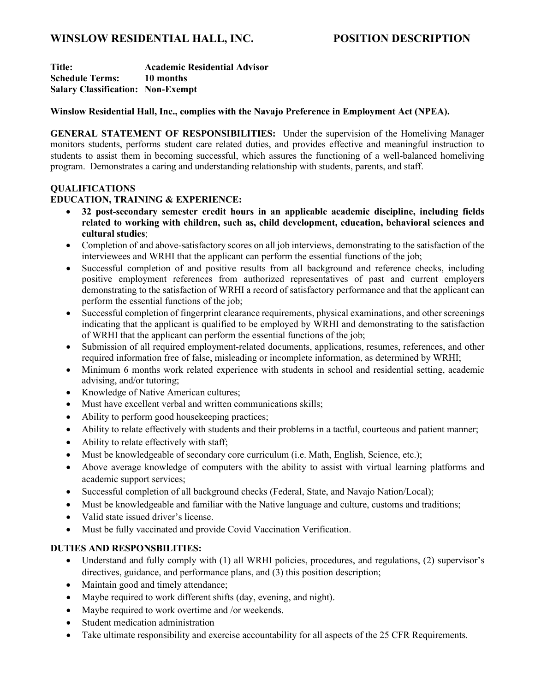# **WINSLOW RESIDENTIAL HALL, INC. POSITION DESCRIPTION**

**Title: Academic Residential Advisor Schedule Terms: 10 months Salary Classification: Non-Exempt**

#### **Winslow Residential Hall, Inc., complies with the Navajo Preference in Employment Act (NPEA).**

**GENERAL STATEMENT OF RESPONSIBILITIES:** Under the supervision of the Homeliving Manager monitors students, performs student care related duties, and provides effective and meaningful instruction to students to assist them in becoming successful, which assures the functioning of a well-balanced homeliving program. Demonstrates a caring and understanding relationship with students, parents, and staff.

### **QUALIFICATIONS**

### **EDUCATION, TRAINING & EXPERIENCE:**

- **32 post-secondary semester credit hours in an applicable academic discipline, including fields related to working with children, such as, child development, education, behavioral sciences and cultural studies**;
- Completion of and above-satisfactory scores on all job interviews, demonstrating to the satisfaction of the interviewees and WRHI that the applicant can perform the essential functions of the job;
- Successful completion of and positive results from all background and reference checks, including positive employment references from authorized representatives of past and current employers demonstrating to the satisfaction of WRHI a record of satisfactory performance and that the applicant can perform the essential functions of the job;
- Successful completion of fingerprint clearance requirements, physical examinations, and other screenings indicating that the applicant is qualified to be employed by WRHI and demonstrating to the satisfaction of WRHI that the applicant can perform the essential functions of the job;
- Submission of all required employment-related documents, applications, resumes, references, and other required information free of false, misleading or incomplete information, as determined by WRHI;
- Minimum 6 months work related experience with students in school and residential setting, academic advising, and/or tutoring;
- Knowledge of Native American cultures;
- Must have excellent verbal and written communications skills;
- Ability to perform good house keeping practices;
- Ability to relate effectively with students and their problems in a tactful, courteous and patient manner;
- Ability to relate effectively with staff;
- Must be knowledgeable of secondary core curriculum (i.e. Math, English, Science, etc.);
- Above average knowledge of computers with the ability to assist with virtual learning platforms and academic support services;
- Successful completion of all background checks (Federal, State, and Navajo Nation/Local);
- Must be knowledgeable and familiar with the Native language and culture, customs and traditions;
- Valid state issued driver's license.
- Must be fully vaccinated and provide Covid Vaccination Verification.

## **DUTIES AND RESPONSBILITIES:**

- Understand and fully comply with (1) all WRHI policies, procedures, and regulations, (2) supervisor's directives, guidance, and performance plans, and (3) this position description;
- Maintain good and timely attendance;
- Maybe required to work different shifts (day, evening, and night).
- Maybe required to work overtime and /or weekends.
- Student medication administration
- Take ultimate responsibility and exercise accountability for all aspects of the 25 CFR Requirements.